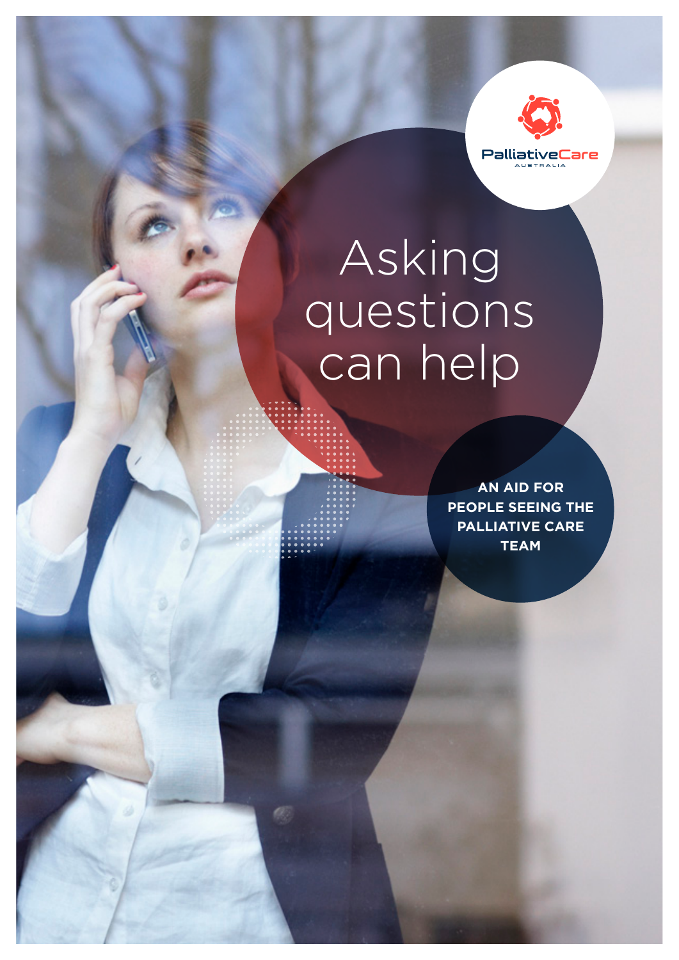

# Asking questions can help

**AN AID FOR PEOPLE SEEING THE PALLIATIVE CARE TEAM**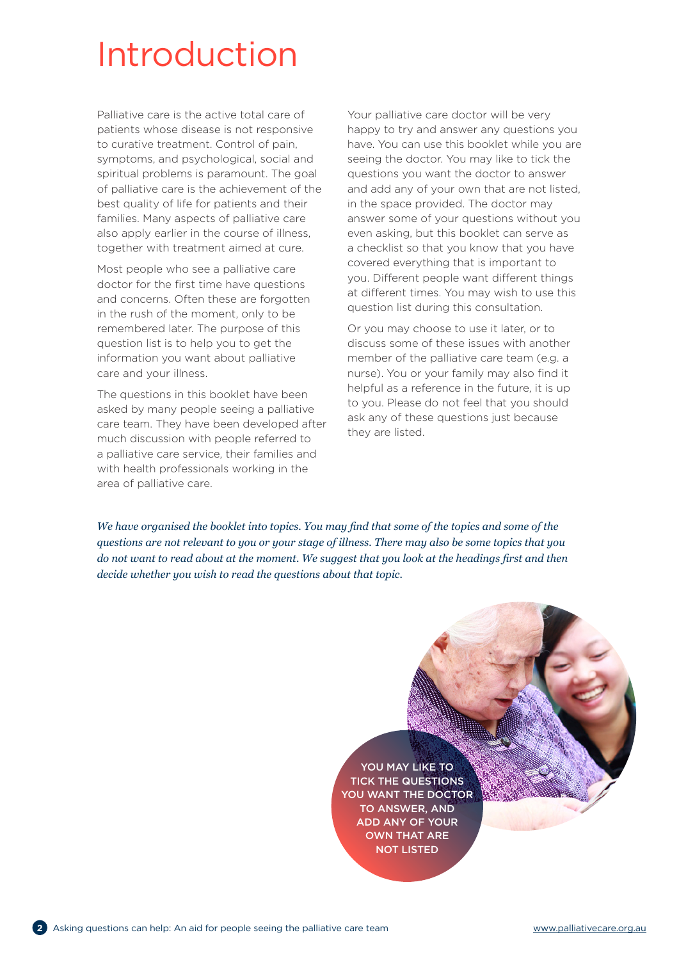## Introduction

Palliative care is the active total care of patients whose disease is not responsive to curative treatment. Control of pain, symptoms, and psychological, social and spiritual problems is paramount. The goal of palliative care is the achievement of the best quality of life for patients and their families. Many aspects of palliative care also apply earlier in the course of illness, together with treatment aimed at cure.

Most people who see a palliative care doctor for the first time have questions and concerns. Often these are forgotten in the rush of the moment, only to be remembered later. The purpose of this question list is to help you to get the information you want about palliative care and your illness.

The questions in this booklet have been asked by many people seeing a palliative care team. They have been developed after much discussion with people referred to a palliative care service, their families and with health professionals working in the area of palliative care.

Your palliative care doctor will be very happy to try and answer any questions you have. You can use this booklet while you are seeing the doctor. You may like to tick the questions you want the doctor to answer and add any of your own that are not listed, in the space provided. The doctor may answer some of your questions without you even asking, but this booklet can serve as a checklist so that you know that you have covered everything that is important to you. Different people want different things at different times. You may wish to use this question list during this consultation.

Or you may choose to use it later, or to discuss some of these issues with another member of the palliative care team (e.g. a nurse). You or your family may also find it helpful as a reference in the future, it is up to you. Please do not feel that you should ask any of these questions just because they are listed.

*We have organised the booklet into topics. You may find that some of the topics and some of the questions are not relevant to you or your stage of illness. There may also be some topics that you do not want to read about at the moment. We suggest that you look at the headings first and then decide whether you wish to read the questions about that topic.*

> YOU MAY LIKE TO TICK THE QUESTIONS YOU WANT THE DOCTOR TO ANSWER, AND ADD ANY OF YOUR OWN THAT ARE NOT LISTED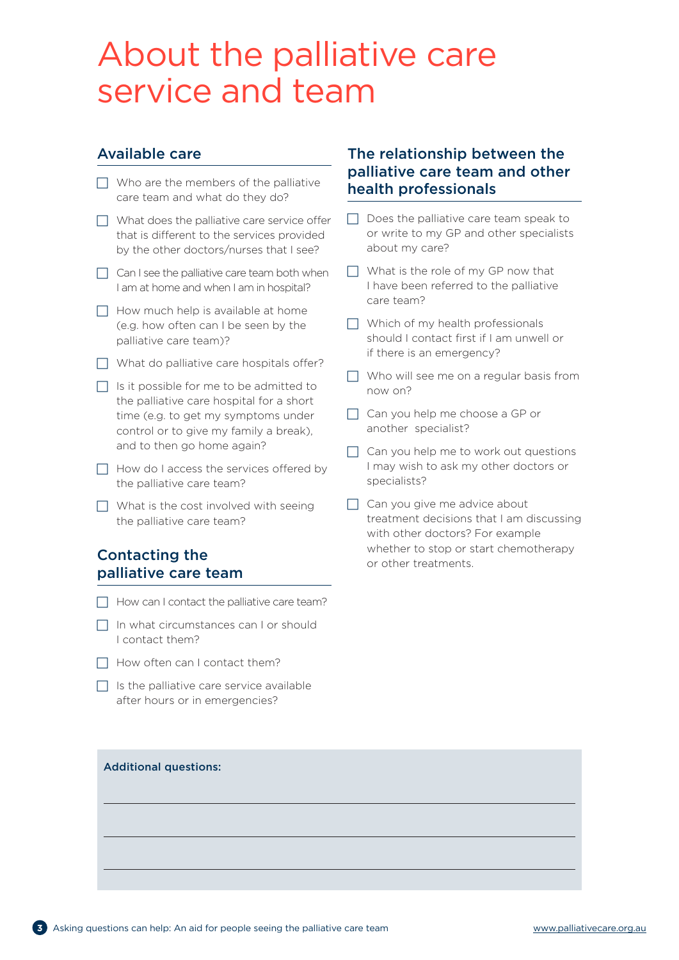## About the palliative care service and team

### Available care

- $\Box$  Who are the members of the palliative care team and what do they do?
- $\Box$  What does the palliative care service offer that is different to the services provided by the other doctors/nurses that I see?
- $\Box$  Can I see the palliative care team both when I am at home and when I am in hospital?
- $\Box$  How much help is available at home (e.g. how often can I be seen by the palliative care team)?
- $\Box$  What do palliative care hospitals offer?
- $\Box$  Is it possible for me to be admitted to the palliative care hospital for a short time (e.g. to get my symptoms under control or to give my family a break), and to then go home again?
- $\Box$  How do I access the services offered by the palliative care team?
- $\Box$  What is the cost involved with seeing the palliative care team?

## Contacting the palliative care team

- $\Box$  How can I contact the palliative care team?
- $\Box$  In what circumstances can I or should I contact them?
- $\Box$  How often can I contact them?
- $\Box$  Is the palliative care service available after hours or in emergencies?

### The relationship between the palliative care team and other health professionals

- $\Box$  Does the palliative care team speak to or write to my GP and other specialists about my care?
- $\Box$  What is the role of my GP now that I have been referred to the palliative care team?
- $\Box$  Which of my health professionals should I contact first if I am unwell or if there is an emergency?
- $\Box$  Who will see me on a regular basis from now on?
- $\Box$  Can you help me choose a GP or another specialist?
- $\Box$  Can you help me to work out questions I may wish to ask my other doctors or specialists?
- $\Box$  Can you give me advice about treatment decisions that I am discussing with other doctors? For example whether to stop or start chemotherapy or other treatments.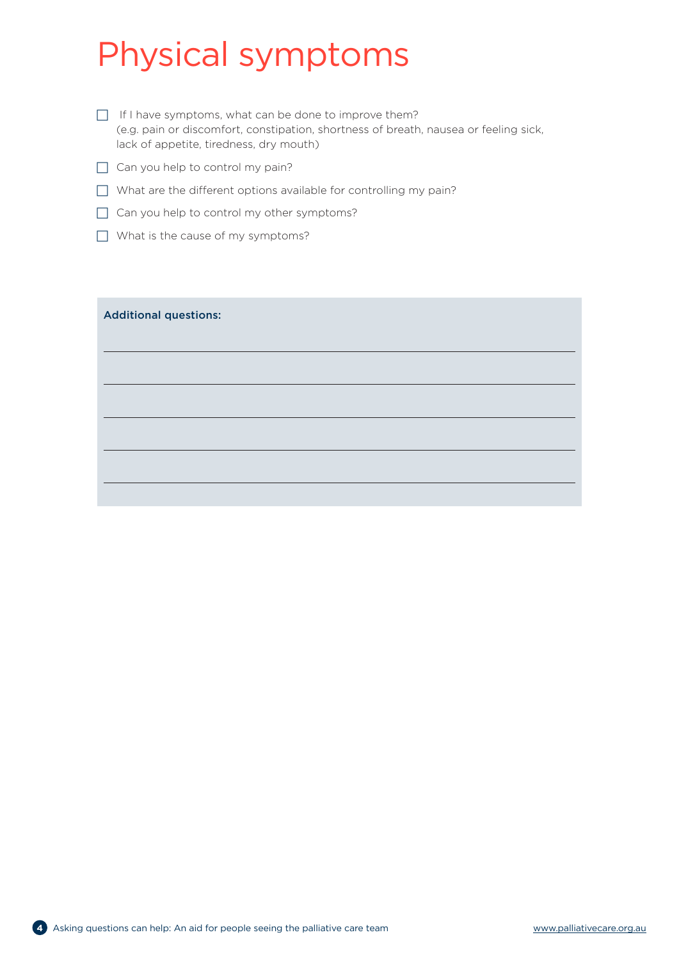## Physical symptoms

- $\Box$  If I have symptoms, what can be done to improve them? (e.g. pain or discomfort, constipation, shortness of breath, nausea or feeling sick, lack of appetite, tiredness, dry mouth)
- $\Box$  Can you help to control my pain?
- $\Box$  What are the different options available for controlling my pain?
- $\Box$  Can you help to control my other symptoms?
- $\Box$  What is the cause of my symptoms?

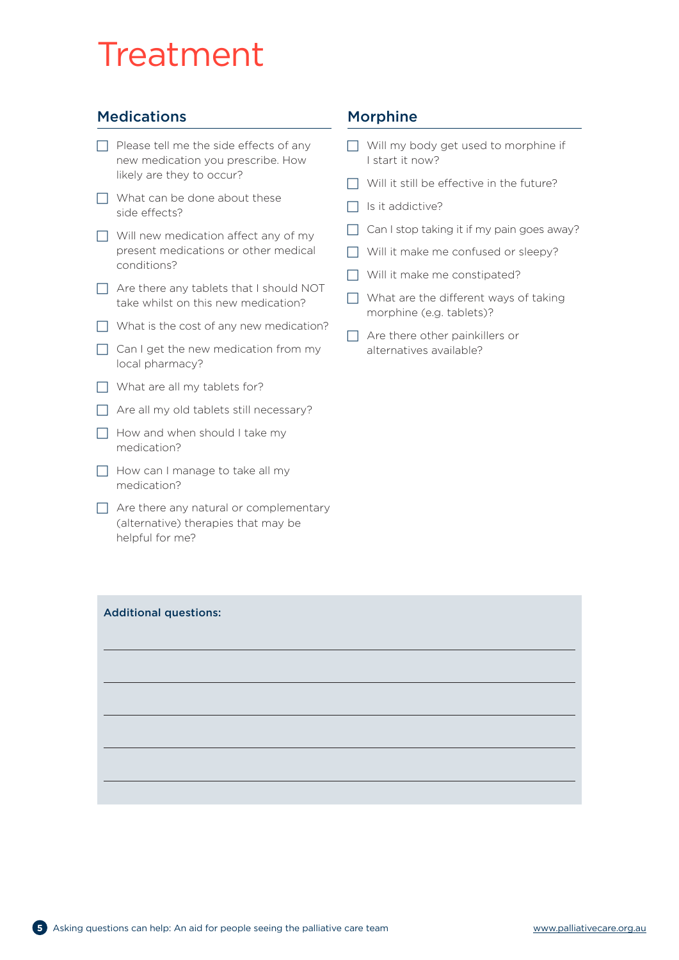## Treatment

## **Medications**

- $\Box$  Please tell me the side effects of any new medication you prescribe. How likely are they to occur?
- $\Box$  What can be done about these side effects?
- $\Box$  Will new medication affect any of my present medications or other medical conditions?
- $\Box$  Are there any tablets that I should NOT take whilst on this new medication?
- $\Box$  What is the cost of any new medication?
- $\Box$  Can I get the new medication from my local pharmacy?
- $\Box$  What are all my tablets for?
- $\Box$  Are all my old tablets still necessary?
- $\Box$  How and when should I take my medication?
- $\Box$  How can I manage to take all my medication?
- $\Box$  Are there any natural or complementary (alternative) therapies that may be helpful for me?

### Morphine

- $\Box$  Will my body get used to morphine if I start it now?
- $\Box$  Will it still be effective in the future?
- $\Box$  Is it addictive?
- $\Box$  Can I stop taking it if my pain goes away?
- $\Box$  Will it make me confused or sleepy?
- $\Box$  Will it make me constipated?
- $\Box$  What are the different ways of taking morphine (e.g. tablets)?
- $\Box$  Are there other painkillers or alternatives available?

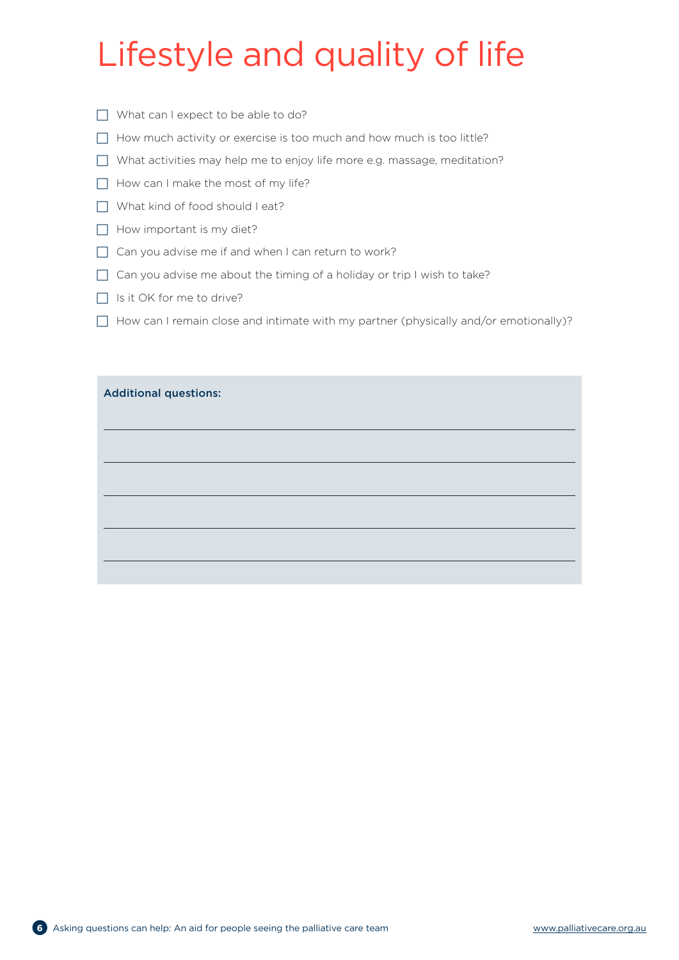## Lifestyle and quality of life

- $\Box$  What can I expect to be able to do?
- $\Box$  How much activity or exercise is too much and how much is too little?
- $\Box$  What activities may help me to enjoy life more e.g. massage, meditation?
- $\Box$  How can I make the most of my life?
- $\Box$  What kind of food should I eat?
- $\Box$  How important is my diet?
- $\Box$  Can you advise me if and when I can return to work?
- $\Box$  Can you advise me about the timing of a holiday or trip I wish to take?
- $\Box$  Is it OK for me to drive?
- $\Box$  How can I remain close and intimate with my partner (physically and/or emotionally)?

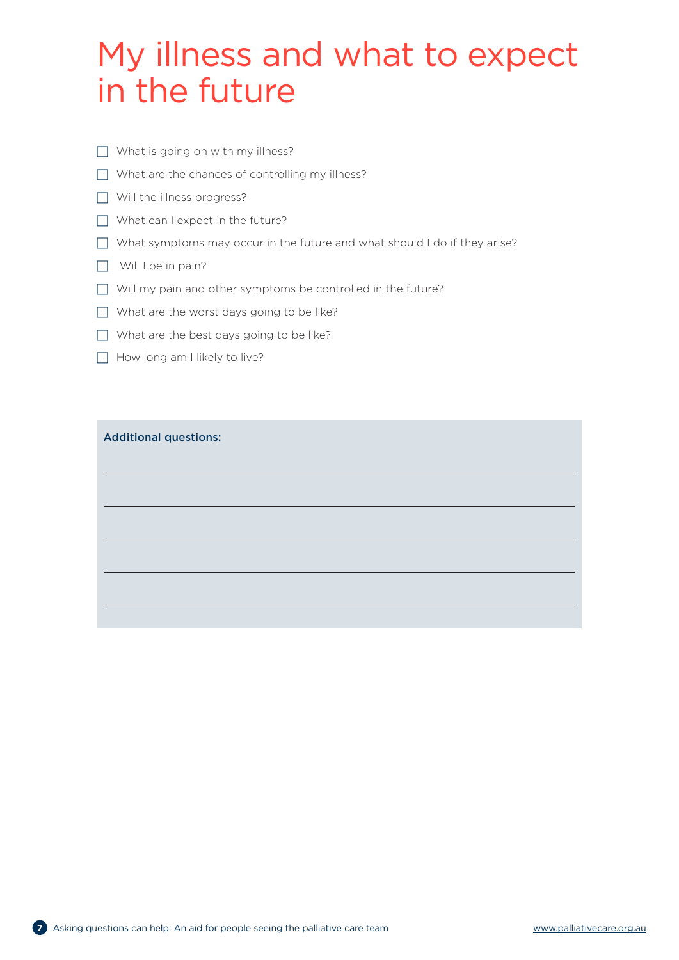## My illness and what to expect in the future

- $\Box$  What is going on with my illness?
- $\Box$  What are the chances of controlling my illness?
- $\Box$  Will the illness progress?
- $\Box$  What can I expect in the future?
- $\Box$  What symptoms may occur in the future and what should I do if they arise?
- $\Box$  Will I be in pain?
- $\Box$  Will my pain and other symptoms be controlled in the future?
- $\Box$  What are the worst days going to be like?
- $\Box$  What are the best days going to be like?
- $\Box$  How long am I likely to live?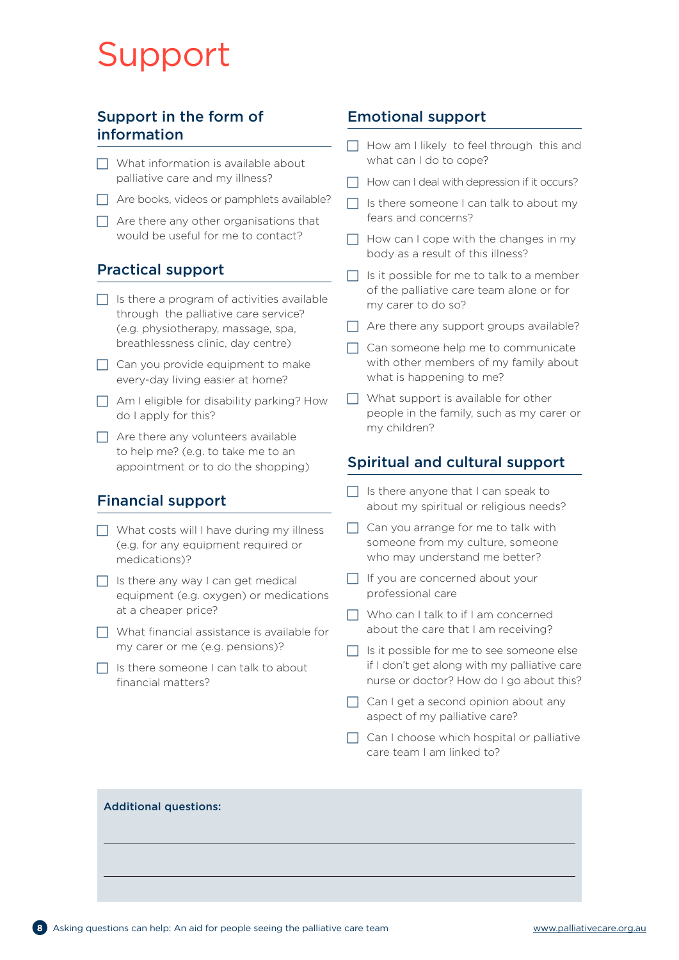## Support

## Support in the form of information

- $\Box$  What information is available about palliative care and my illness?
- $\Box$  Are books, videos or pamphlets available?
- $\Box$  Are there any other organisations that would be useful for me to contact?

## Practical support

- $\Box$  Is there a program of activities available through the palliative care service? (e.g. physiotherapy, massage, spa, breathlessness clinic, day centre)
- $\Box$  Can you provide equipment to make every-day living easier at home?
- $\Box$  Am I eligible for disability parking? How do I apply for this?
- $\Box$  Are there any volunteers available to help me? (e.g. to take me to an appointment or to do the shopping)

## Financial support

- $\Box$  What costs will I have during my illness (e.g. for any equipment required or medications)?
- $\Box$  Is there any way I can get medical equipment (e.g. oxygen) or medications at a cheaper price?
- $\Box$  What financial assistance is available for my carer or me (e.g. pensions)?
- $\overline{\phantom{a}}$  Is there someone I can talk to about financial matters?

### Emotional support

- $\Box$  How am I likely to feel through this and what can I do to cope?
- $\Box$  How can I deal with depression if it occurs?
- $\Box$  Is there someone I can talk to about my fears and concerns?
- $\Box$  How can I cope with the changes in my body as a result of this illness?
- $\Box$  Is it possible for me to talk to a member of the palliative care team alone or for my carer to do so?
- $\Box$  Are there any support groups available?
- $\Box$  Can someone help me to communicate with other members of my family about what is happening to me?
- $\Box$  What support is available for other people in the family, such as my carer or my children?

## Spiritual and cultural support

- $\Box$  Is there anyone that I can speak to about my spiritual or religious needs?
- $\Box$  Can you arrange for me to talk with someone from my culture, someone who may understand me better?
- $\Box$  If you are concerned about your professional care
- $\Box$  Who can I talk to if I am concerned about the care that I am receiving?
- $\Box$  Is it possible for me to see someone else if I don't get along with my palliative care nurse or doctor? How do I go about this?
- $\Box$  Can I get a second opinion about any aspect of my palliative care?
- $\Box$  Can I choose which hospital or palliative care team I am linked to?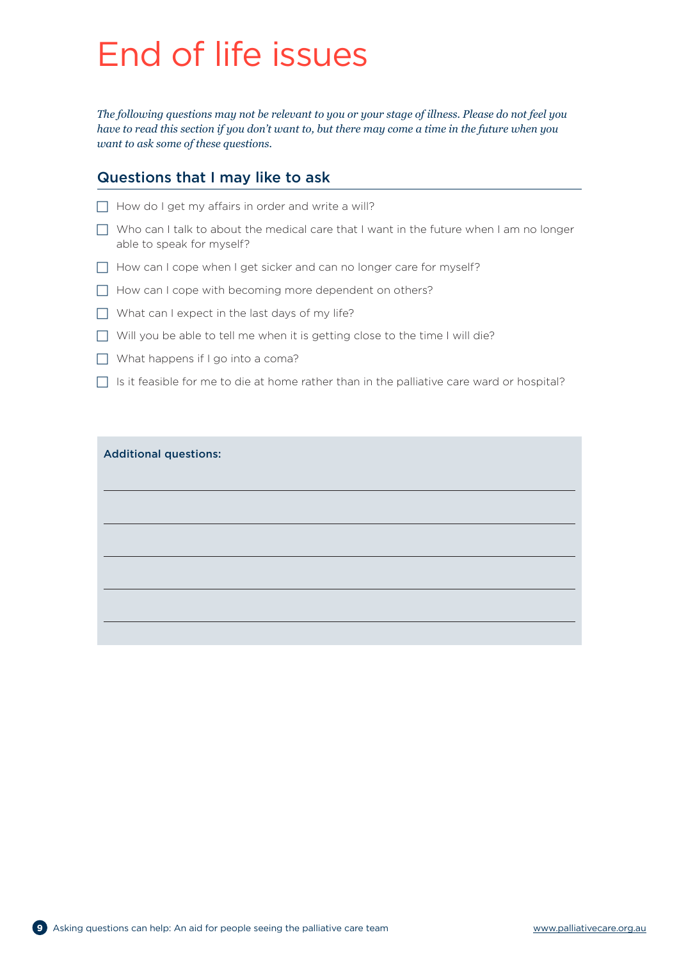## End of life issues

*The following questions may not be relevant to you or your stage of illness. Please do not feel you have to read this section if you don't want to, but there may come a time in the future when you want to ask some of these questions.*

### Questions that I may like to ask

- $\Box$  How do I get my affairs in order and write a will?
- $\Box$  Who can I talk to about the medical care that I want in the future when I am no longer able to speak for myself?
- $\Box$  How can I cope when I get sicker and can no longer care for myself?
- $\Box$  How can I cope with becoming more dependent on others?
- $\Box$  What can I expect in the last days of my life?
- $\Box$  Will you be able to tell me when it is getting close to the time I will die?
- $\Box$  What happens if I go into a coma?
- $\Box$  Is it feasible for me to die at home rather than in the palliative care ward or hospital?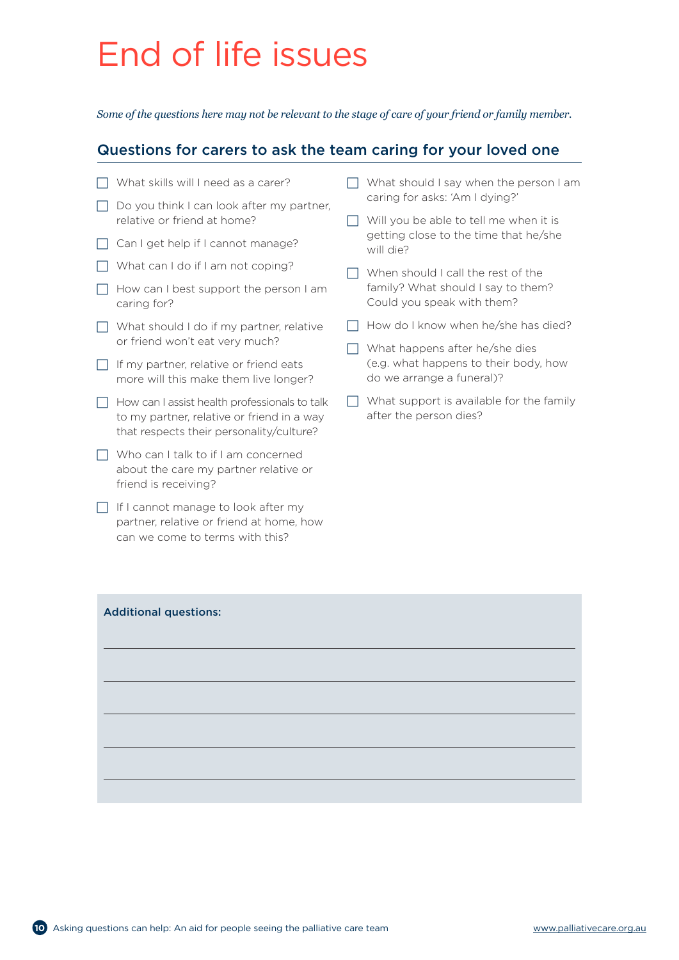## End of life issues

*Some of the questions here may not be relevant to the stage of care of your friend or family member.*

### Questions for carers to ask the team caring for your loved one

- $\Box$  What skills will I need as a carer?
- $\Box$  Do you think I can look after my partner, relative or friend at home?
- $\Box$  Can I get help if I cannot manage?
- $\Box$  What can I do if I am not coping?
- $\Box$  How can I best support the person I am caring for?
- $\Box$  What should I do if my partner, relative or friend won't eat very much?
- $\Box$  If my partner, relative or friend eats more will this make them live longer?
- $\Box$  How can I assist health professionals to talk to my partner, relative or friend in a way that respects their personality/culture?
- $\Box$  Who can I talk to if I am concerned about the care my partner relative or friend is receiving?
- $\Box$  If I cannot manage to look after my partner, relative or friend at home, how can we come to terms with this?
- $\Box$  What should I say when the person I am caring for asks: 'Am I dying?'
- $\Box$  Will you be able to tell me when it is getting close to the time that he/she will die?
- $\Box$  When should I call the rest of the family? What should I say to them? Could you speak with them?
- $\Box$  How do I know when he/she has died?
- $\Box$  What happens after he/she dies (e.g. what happens to their body, how do we arrange a funeral)?
- $\Box$  What support is available for the family after the person dies?